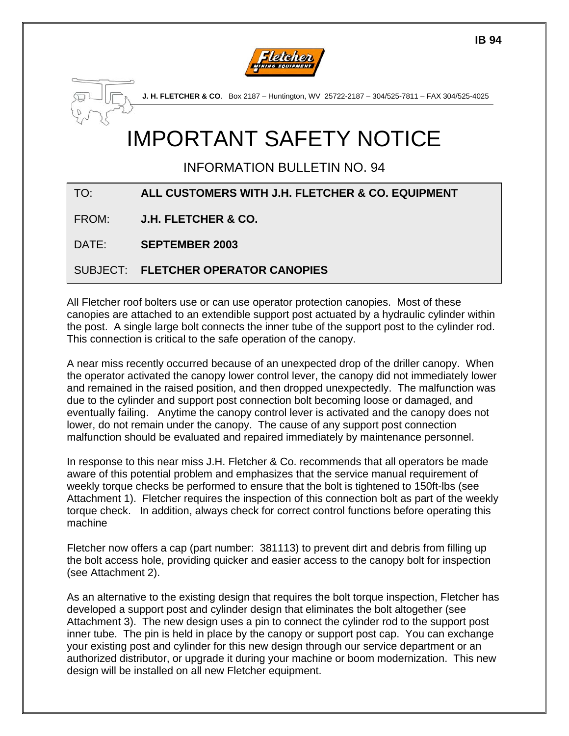

**J. H. FLETCHER & CO**. Box 2187 – Huntington, WV 25722-2187 – 304/525-7811 – FAX 304/525-4025

# IMPORTANT SAFETY NOTICE

INFORMATION BULLETIN NO. 94

| TO:   | ALL CUSTOMERS WITH J.H. FLETCHER & CO. EQUIPMENT |
|-------|--------------------------------------------------|
| FROM: | <b>J.H. FLETCHER &amp; CO.</b>                   |
| DATE: | <b>SEPTEMBER 2003</b>                            |
|       | SUBJECT: FLETCHER OPERATOR CANOPIES              |

All Fletcher roof bolters use or can use operator protection canopies. Most of these canopies are attached to an extendible support post actuated by a hydraulic cylinder within the post. A single large bolt connects the inner tube of the support post to the cylinder rod. This connection is critical to the safe operation of the canopy.

A near miss recently occurred because of an unexpected drop of the driller canopy. When the operator activated the canopy lower control lever, the canopy did not immediately lower and remained in the raised position, and then dropped unexpectedly. The malfunction was due to the cylinder and support post connection bolt becoming loose or damaged, and eventually failing. Anytime the canopy control lever is activated and the canopy does not lower, do not remain under the canopy. The cause of any support post connection malfunction should be evaluated and repaired immediately by maintenance personnel.

In response to this near miss J.H. Fletcher & Co. recommends that all operators be made aware of this potential problem and emphasizes that the service manual requirement of weekly torque checks be performed to ensure that the bolt is tightened to 150ft-lbs (see Attachment 1). Fletcher requires the inspection of this connection bolt as part of the weekly torque check. In addition, always check for correct control functions before operating this machine

Fletcher now offers a cap (part number: 381113) to prevent dirt and debris from filling up the bolt access hole, providing quicker and easier access to the canopy bolt for inspection (see Attachment 2).

As an alternative to the existing design that requires the bolt torque inspection, Fletcher has developed a support post and cylinder design that eliminates the bolt altogether (see Attachment 3). The new design uses a pin to connect the cylinder rod to the support post inner tube. The pin is held in place by the canopy or support post cap. You can exchange your existing post and cylinder for this new design through our service department or an authorized distributor, or upgrade it during your machine or boom modernization. This new design will be installed on all new Fletcher equipment.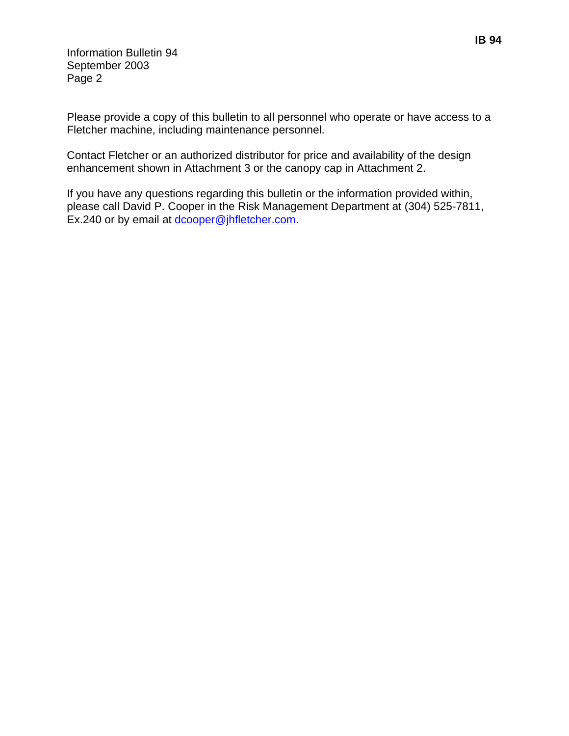Information Bulletin 94 September 2003 Page 2

Please provide a copy of this bulletin to all personnel who operate or have access to a Fletcher machine, including maintenance personnel.

Contact Fletcher or an authorized distributor for price and availability of the design enhancement shown in Attachment 3 or the canopy cap in Attachment 2.

If you have any questions regarding this bulletin or the information provided within, please call David P. Cooper in the Risk Management Department at (304) 525-7811, Ex.240 or by email at [dcooper@jhfletcher.com](mailto:dcooper@jhfletcher.com).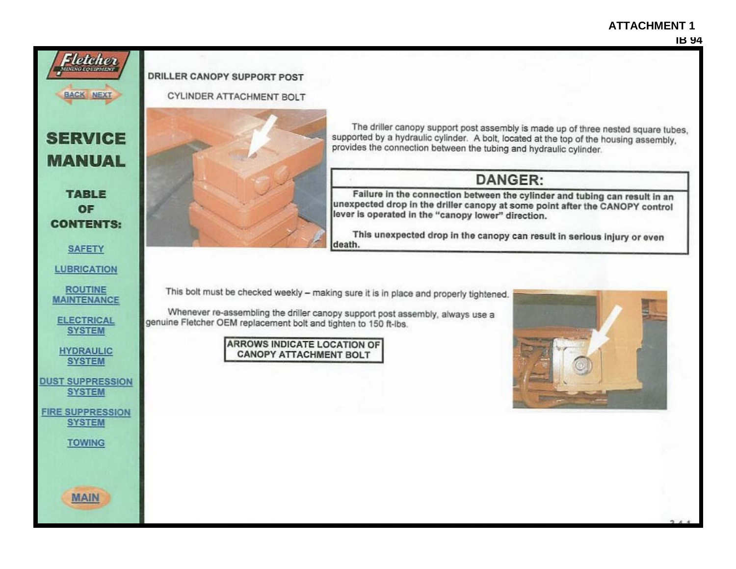#### **ATTACHMENT 1**

#### **IB 94**

#### DRILLER CANOPY SUPPORT POST

Fletcher

**BACK NEXT** 

**SERVICE** 

**MANUAL** 

**TABLE** 

OF

**CONTENTS:** 

**SAFETY** 

**LUBRICATION** 

**ROUTINE** 

**MAINTENANCE** 

**ELECTRICAL** 

**SYSTEM** 

**HYDRAULIC** 

**SYSTEM** 

**DUST SUPPRESSION SYSTEM** 

**FIRE SUPPRESSION SYSTEM** 

**TOWING** 

**MAIN** 

**CYLINDER ATTACHMENT BOLT** 



The driller canopy support post assembly is made up of three nested square tubes. supported by a hydraulic cylinder. A bolt, located at the top of the housing assembly. provides the connection between the tubing and hydraulic cylinder.

### **DANGER:**

Failure in the connection between the cylinder and tubing can result in an unexpected drop in the driller canopy at some point after the CANOPY control lever is operated in the "canopy lower" direction.

This unexpected drop in the canopy can result in serious injury or even death.

This bolt must be checked weekly - making sure it is in place and properly tightened.

Whenever re-assembling the driller canopy support post assembly, always use a genuine Fletcher OEM replacement bolt and tighten to 150 ft-lbs.

> **ARROWS INDICATE LOCATION OF CANOPY ATTACHMENT BOLT**

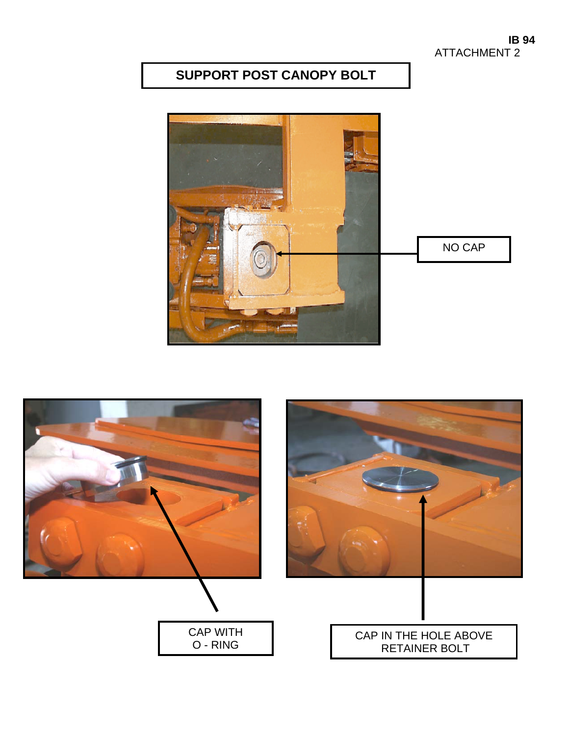# **SUPPORT POST CANOPY BOLT**